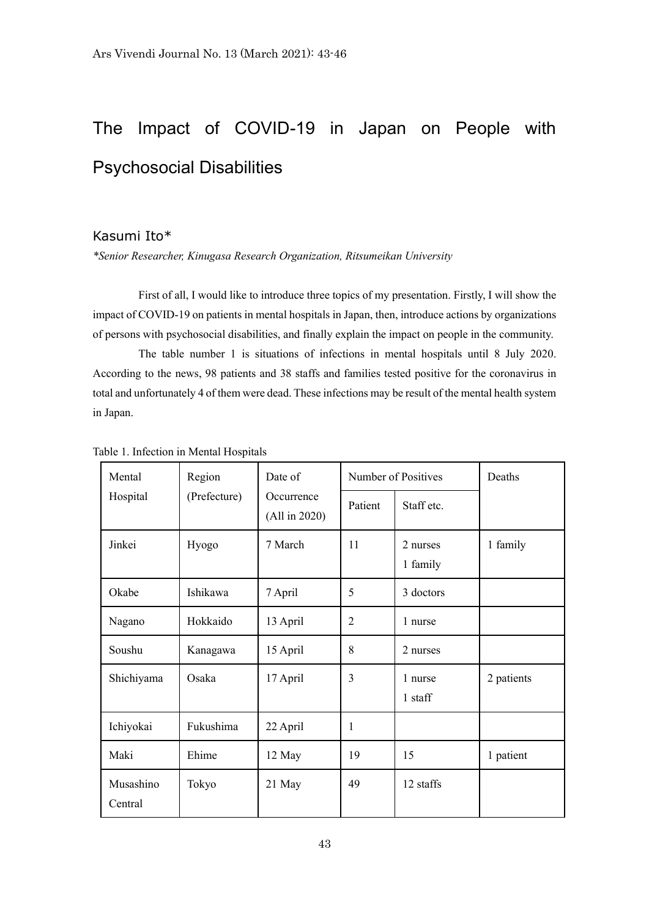## The Impact of COVID-19 in Japan on People with Psychosocial Disabilities

## Kasumi Ito\*

*\*Senior Researcher, Kinugasa Research Organization, Ritsumeikan University*

First of all, I would like to introduce three topics of my presentation. Firstly, I will show the impact of COVID-19 on patients in mental hospitals in Japan, then, introduce actions by organizations of persons with psychosocial disabilities, and finally explain the impact on people in the community.

The table number 1 is situations of infections in mental hospitals until 8 July 2020. According to the news, 98 patients and 38 staffs and families tested positive for the coronavirus in total and unfortunately 4 of them were dead. These infections may be result of the mental health system in Japan.

| Mental<br>Hospital   | Region<br>(Prefecture) | Date of<br>Occurrence<br>(All in 2020) | Number of Positives |                      | Deaths     |
|----------------------|------------------------|----------------------------------------|---------------------|----------------------|------------|
|                      |                        |                                        | Patient             | Staff etc.           |            |
| Jinkei               | Hyogo                  | 7 March                                | 11                  | 2 nurses<br>1 family | 1 family   |
| Okabe                | Ishikawa               | 7 April                                | 5                   | 3 doctors            |            |
| Nagano               | Hokkaido               | 13 April                               | $\overline{2}$      | 1 nurse              |            |
| Soushu               | Kanagawa               | 15 April                               | 8                   | 2 nurses             |            |
| Shichiyama           | Osaka                  | 17 April                               | 3                   | 1 nurse<br>1 staff   | 2 patients |
| Ichiyokai            | Fukushima              | 22 April                               | 1                   |                      |            |
| Maki                 | Ehime                  | 12 May                                 | 19                  | 15                   | 1 patient  |
| Musashino<br>Central | Tokyo                  | 21 May                                 | 49                  | 12 staffs            |            |

Table 1. Infection in Mental Hospitals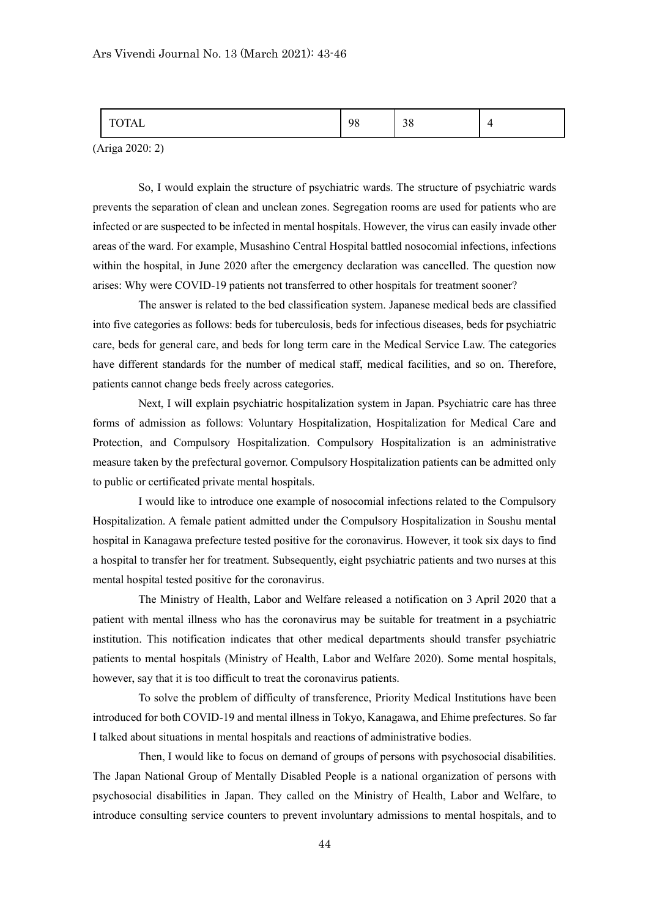|  | $\alpha$<br>70 | $\sim$<br>υc |  |
|--|----------------|--------------|--|
|--|----------------|--------------|--|

(Ariga 2020: 2)

So, I would explain the structure of psychiatric wards. The structure of psychiatric wards prevents the separation of clean and unclean zones. Segregation rooms are used for patients who are infected or are suspected to be infected in mental hospitals. However, the virus can easily invade other areas of the ward. For example, Musashino Central Hospital battled nosocomial infections, infections within the hospital, in June 2020 after the emergency declaration was cancelled. The question now arises: Why were COVID-19 patients not transferred to other hospitals for treatment sooner?

The answer is related to the bed classification system. Japanese medical beds are classified into five categories as follows: beds for tuberculosis, beds for infectious diseases, beds for psychiatric care, beds for general care, and beds for long term care in the Medical Service Law. The categories have different standards for the number of medical staff, medical facilities, and so on. Therefore, patients cannot change beds freely across categories.

Next, I will explain psychiatric hospitalization system in Japan. Psychiatric care has three forms of admission as follows: Voluntary Hospitalization, Hospitalization for Medical Care and Protection, and Compulsory Hospitalization. Compulsory Hospitalization is an administrative measure taken by the prefectural governor. Compulsory Hospitalization patients can be admitted only to public or certificated private mental hospitals.

I would like to introduce one example of nosocomial infections related to the Compulsory Hospitalization. A female patient admitted under the Compulsory Hospitalization in Soushu mental hospital in Kanagawa prefecture tested positive for the coronavirus. However, it took six days to find a hospital to transfer her for treatment. Subsequently, eight psychiatric patients and two nurses at this mental hospital tested positive for the coronavirus.

The Ministry of Health, Labor and Welfare released a notification on 3 April 2020 that a patient with mental illness who has the coronavirus may be suitable for treatment in a psychiatric institution. This notification indicates that other medical departments should transfer psychiatric patients to mental hospitals (Ministry of Health, Labor and Welfare 2020). Some mental hospitals, however, say that it is too difficult to treat the coronavirus patients.

To solve the problem of difficulty of transference, Priority Medical Institutions have been introduced for both COVID-19 and mental illness in Tokyo, Kanagawa, and Ehime prefectures. So far I talked about situations in mental hospitals and reactions of administrative bodies.

Then, I would like to focus on demand of groups of persons with psychosocial disabilities. The Japan National Group of Mentally Disabled People is a national organization of persons with psychosocial disabilities in Japan. They called on the Ministry of Health, Labor and Welfare, to introduce consulting service counters to prevent involuntary admissions to mental hospitals, and to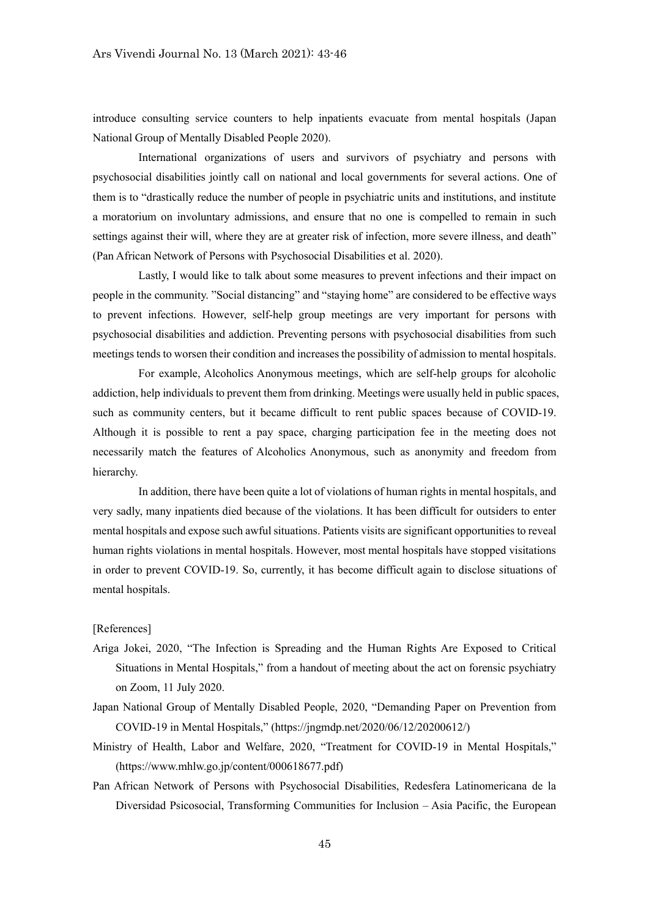introduce consulting service counters to help inpatients evacuate from mental hospitals (Japan National Group of Mentally Disabled People 2020).

International organizations of users and survivors of psychiatry and persons with psychosocial disabilities jointly call on national and local governments for several actions. One of them is to "drastically reduce the number of people in psychiatric units and institutions, and institute a moratorium on involuntary admissions, and ensure that no one is compelled to remain in such settings against their will, where they are at greater risk of infection, more severe illness, and death" (Pan African Network of Persons with Psychosocial Disabilities et al. 2020).

Lastly, I would like to talk about some measures to prevent infections and their impact on people in the community. "Social distancing" and "staying home" are considered to be effective ways to prevent infections. However, self-help group meetings are very important for persons with psychosocial disabilities and addiction. Preventing persons with psychosocial disabilities from such meetings tends to worsen their condition and increases the possibility of admission to mental hospitals.

For example, Alcoholics Anonymous meetings, which are self-help groups for alcoholic addiction, help individuals to prevent them from drinking. Meetings were usually held in public spaces, such as community centers, but it became difficult to rent public spaces because of COVID-19. Although it is possible to rent a pay space, charging participation fee in the meeting does not necessarily match the features of Alcoholics Anonymous, such as anonymity and freedom from hierarchy.

In addition, there have been quite a lot of violations of human rights in mental hospitals, and very sadly, many inpatients died because of the violations. It has been difficult for outsiders to enter mental hospitals and expose such awful situations. Patients visits are significant opportunities to reveal human rights violations in mental hospitals. However, most mental hospitals have stopped visitations in order to prevent COVID-19. So, currently, it has become difficult again to disclose situations of mental hospitals.

## [References]

- Ariga Jokei, 2020, "The Infection is Spreading and the Human Rights Are Exposed to Critical Situations in Mental Hospitals," from a handout of meeting about the act on forensic psychiatry on Zoom, 11 July 2020.
- Japan National Group of Mentally Disabled People, 2020, "Demanding Paper on Prevention from COVID-19 in Mental Hospitals," (https://jngmdp.net/2020/06/12/20200612/)
- Ministry of Health, Labor and Welfare, 2020, "Treatment for COVID-19 in Mental Hospitals," (https://www.mhlw.go.jp/content/000618677.pdf)
- Pan African Network of Persons with Psychosocial Disabilities, Redesfera Latinomericana de la Diversidad Psicosocial, Transforming Communities for Inclusion – Asia Pacific, the European